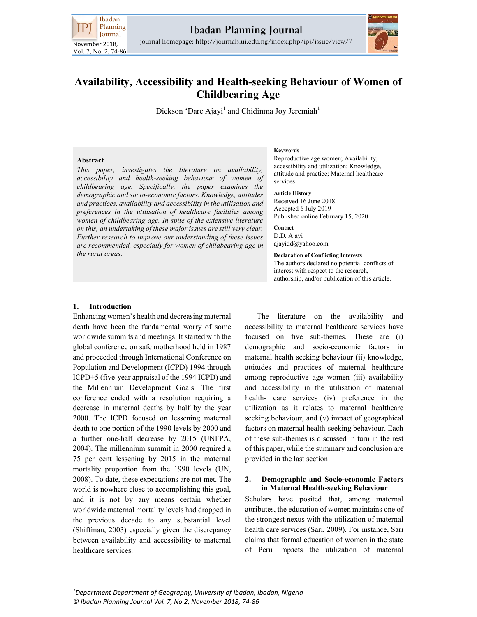

journal homepage: http://journals.ui.edu.ng/index.php/ipj/issue/view/7



# Availability, Accessibility and Health-seeking Behaviour of Women of Childbearing Age

Dickson 'Dare Ajayi<sup>1</sup> and Chidinma Joy Jeremiah<sup>1</sup>

### Abstract

This paper, investigates the literature on availability, accessibility and health-seeking behaviour of women of childbearing age. Specifically, the paper examines the demographic and socio-economic factors. Knowledge, attitudes and practices, availability and accessibility in the utilisation and preferences in the utilisation of healthcare facilities among women of childbearing age. In spite of the extensive literature on this, an undertaking of these major issues are still very clear. Further research to improve our understanding of these issues are recommended, especially for women of childbearing age in the rural areas.

### Keywords

Reproductive age women; Availability; accessibility and utilization; Knowledge, attitude and practice; Maternal healthcare services

#### Article History

Received 16 June 2018 Accepted 6 July 2019 Published online February 15, 2020

Contact D.D. Ajayi ajayidd@yahoo.com

### Declaration of Conflicting Interests The authors declared no potential conflicts of interest with respect to the research, authorship, and/or publication of this article.

### 1. Introduction

Enhancing women's health and decreasing maternal death have been the fundamental worry of some worldwide summits and meetings. It started with the global conference on safe motherhood held in 1987 and proceeded through International Conference on Population and Development (ICPD) 1994 through ICPD+5 (five-year appraisal of the 1994 ICPD) and the Millennium Development Goals. The first conference ended with a resolution requiring a decrease in maternal deaths by half by the year 2000. The ICPD focused on lessening maternal death to one portion of the 1990 levels by 2000 and a further one-half decrease by 2015 (UNFPA, 2004). The millennium summit in 2000 required a 75 per cent lessening by 2015 in the maternal mortality proportion from the 1990 levels (UN, 2008). To date, these expectations are not met. The world is nowhere close to accomplishing this goal, and it is not by any means certain whether worldwide maternal mortality levels had dropped in the previous decade to any substantial level (Shiffman, 2003) especially given the discrepancy between availability and accessibility to maternal healthcare services.

The literature on the availability and accessibility to maternal healthcare services have focused on five sub-themes. These are (i) demographic and socio-economic factors in maternal health seeking behaviour (ii) knowledge, attitudes and practices of maternal healthcare among reproductive age women (iii) availability and accessibility in the utilisation of maternal health- care services (iv) preference in the utilization as it relates to maternal healthcare seeking behaviour, and (v) impact of geographical factors on maternal health-seeking behaviour. Each of these sub-themes is discussed in turn in the rest of this paper, while the summary and conclusion are provided in the last section.

### 2. Demographic and Socio-economic Factors in Maternal Health-seeking Behaviour

Scholars have posited that, among maternal attributes, the education of women maintains one of the strongest nexus with the utilization of maternal health care services (Sari, 2009). For instance, Sari claims that formal education of women in the state of Peru impacts the utilization of maternal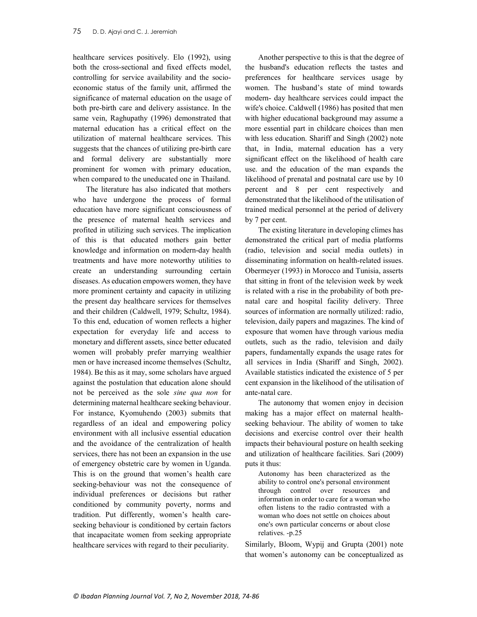healthcare services positively. Elo (1992), using both the cross-sectional and fixed effects model, controlling for service availability and the socioeconomic status of the family unit, affirmed the significance of maternal education on the usage of both pre-birth care and delivery assistance. In the same vein, Raghupathy (1996) demonstrated that maternal education has a critical effect on the utilization of maternal healthcare services. This suggests that the chances of utilizing pre-birth care and formal delivery are substantially more prominent for women with primary education, when compared to the uneducated one in Thailand.

The literature has also indicated that mothers who have undergone the process of formal education have more significant consciousness of the presence of maternal health services and profited in utilizing such services. The implication of this is that educated mothers gain better knowledge and information on modern-day health treatments and have more noteworthy utilities to create an understanding surrounding certain diseases. As education empowers women, they have more prominent certainty and capacity in utilizing the present day healthcare services for themselves and their children (Caldwell, 1979; Schultz, 1984). To this end, education of women reflects a higher expectation for everyday life and access to monetary and different assets, since better educated women will probably prefer marrying wealthier men or have increased income themselves (Schultz, 1984). Be this as it may, some scholars have argued against the postulation that education alone should not be perceived as the sole sine qua non for determining maternal healthcare seeking behaviour. For instance, Kyomuhendo (2003) submits that regardless of an ideal and empowering policy environment with all inclusive essential education and the avoidance of the centralization of health services, there has not been an expansion in the use of emergency obstetric care by women in Uganda. This is on the ground that women's health care seeking-behaviour was not the consequence of individual preferences or decisions but rather conditioned by community poverty, norms and tradition. Put differently, women's health careseeking behaviour is conditioned by certain factors that incapacitate women from seeking appropriate healthcare services with regard to their peculiarity.

Another perspective to this is that the degree of the husband's education reflects the tastes and preferences for healthcare services usage by women. The husband's state of mind towards modern- day healthcare services could impact the wife's choice. Caldwell (1986) has posited that men with higher educational background may assume a more essential part in childcare choices than men with less education. Shariff and Singh (2002) note that, in India, maternal education has a very significant effect on the likelihood of health care use. and the education of the man expands the likelihood of prenatal and postnatal care use by 10 percent and 8 per cent respectively and demonstrated that the likelihood of the utilisation of trained medical personnel at the period of delivery by 7 per cent.

The existing literature in developing climes has demonstrated the critical part of media platforms (radio, television and social media outlets) in disseminating information on health-related issues. Obermeyer (1993) in Morocco and Tunisia, asserts that sitting in front of the television week by week is related with a rise in the probability of both prenatal care and hospital facility delivery. Three sources of information are normally utilized: radio, television, daily papers and magazines. The kind of exposure that women have through various media outlets, such as the radio, television and daily papers, fundamentally expands the usage rates for all services in India (Shariff and Singh, 2002). Available statistics indicated the existence of 5 per cent expansion in the likelihood of the utilisation of ante-natal care.

The autonomy that women enjoy in decision making has a major effect on maternal healthseeking behaviour. The ability of women to take decisions and exercise control over their health impacts their behavioural posture on health seeking and utilization of healthcare facilities. Sari (2009) puts it thus:

Autonomy has been characterized as the ability to control one's personal environment through control over resources and information in order to care for a woman who often listens to the radio contrasted with a woman who does not settle on choices about one's own particular concerns or about close relatives. -p.25

Similarly, Bloom, Wypij and Grupta (2001) note that women's autonomy can be conceptualized as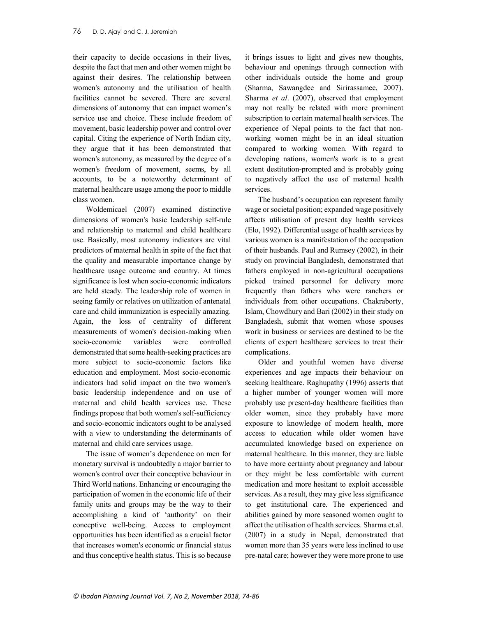their capacity to decide occasions in their lives, despite the fact that men and other women might be against their desires. The relationship between women's autonomy and the utilisation of health facilities cannot be severed. There are several dimensions of autonomy that can impact women's service use and choice. These include freedom of movement, basic leadership power and control over capital. Citing the experience of North Indian city, they argue that it has been demonstrated that women's autonomy, as measured by the degree of a women's freedom of movement, seems, by all accounts, to be a noteworthy determinant of maternal healthcare usage among the poor to middle class women.

Woldemicael (2007) examined distinctive dimensions of women's basic leadership self-rule and relationship to maternal and child healthcare use. Basically, most autonomy indicators are vital predictors of maternal health in spite of the fact that the quality and measurable importance change by healthcare usage outcome and country. At times significance is lost when socio-economic indicators are held steady. The leadership role of women in seeing family or relatives on utilization of antenatal care and child immunization is especially amazing. Again, the loss of centrality of different measurements of women's decision-making when socio-economic variables were controlled demonstrated that some health-seeking practices are more subject to socio-economic factors like education and employment. Most socio-economic indicators had solid impact on the two women's basic leadership independence and on use of maternal and child health services use. These findings propose that both women's self-sufficiency and socio-economic indicators ought to be analysed with a view to understanding the determinants of maternal and child care services usage.

The issue of women's dependence on men for monetary survival is undoubtedly a major barrier to women's control over their conceptive behaviour in Third World nations. Enhancing or encouraging the participation of women in the economic life of their family units and groups may be the way to their accomplishing a kind of 'authority' on their conceptive well-being. Access to employment opportunities has been identified as a crucial factor that increases women's economic or financial status and thus conceptive health status. This is so because

it brings issues to light and gives new thoughts, behaviour and openings through connection with other individuals outside the home and group (Sharma, Sawangdee and Sirirassamee, 2007). Sharma et al. (2007), observed that employment may not really be related with more prominent subscription to certain maternal health services. The experience of Nepal points to the fact that nonworking women might be in an ideal situation compared to working women. With regard to developing nations, women's work is to a great extent destitution-prompted and is probably going to negatively affect the use of maternal health services.

The husband's occupation can represent family wage or societal position; expanded wage positively affects utilisation of present day health services (Elo, 1992). Differential usage of health services by various women is a manifestation of the occupation of their husbands. Paul and Rumsey (2002), in their study on provincial Bangladesh, demonstrated that fathers employed in non-agricultural occupations picked trained personnel for delivery more frequently than fathers who were ranchers or individuals from other occupations. Chakraborty, Islam, Chowdhury and Bari (2002) in their study on Bangladesh, submit that women whose spouses work in business or services are destined to be the clients of expert healthcare services to treat their complications.

Older and youthful women have diverse experiences and age impacts their behaviour on seeking healthcare. Raghupathy (1996) asserts that a higher number of younger women will more probably use present-day healthcare facilities than older women, since they probably have more exposure to knowledge of modern health, more access to education while older women have accumulated knowledge based on experience on maternal healthcare. In this manner, they are liable to have more certainty about pregnancy and labour or they might be less comfortable with current medication and more hesitant to exploit accessible services. As a result, they may give less significance to get institutional care. The experienced and abilities gained by more seasoned women ought to affect the utilisation of health services. Sharma et.al. (2007) in a study in Nepal, demonstrated that women more than 35 years were less inclined to use pre-natal care; however they were more prone to use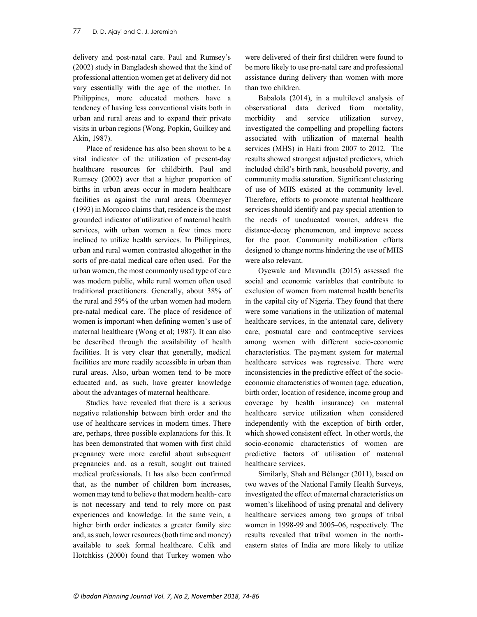delivery and post-natal care. Paul and Rumsey's (2002) study in Bangladesh showed that the kind of professional attention women get at delivery did not vary essentially with the age of the mother. In Philippines, more educated mothers have a tendency of having less conventional visits both in urban and rural areas and to expand their private visits in urban regions (Wong, Popkin, Guilkey and Akin, 1987).

Place of residence has also been shown to be a vital indicator of the utilization of present-day healthcare resources for childbirth. Paul and Rumsey (2002) aver that a higher proportion of births in urban areas occur in modern healthcare facilities as against the rural areas. Obermeyer (1993) in Morocco claims that, residence is the most grounded indicator of utilization of maternal health services, with urban women a few times more inclined to utilize health services. In Philippines, urban and rural women contrasted altogether in the sorts of pre-natal medical care often used. For the urban women, the most commonly used type of care was modern public, while rural women often used traditional practitioners. Generally, about 38% of the rural and 59% of the urban women had modern pre-natal medical care. The place of residence of women is important when defining women's use of maternal healthcare (Wong et al; 1987). It can also be described through the availability of health facilities. It is very clear that generally, medical facilities are more readily accessible in urban than rural areas. Also, urban women tend to be more educated and, as such, have greater knowledge about the advantages of maternal healthcare.

Studies have revealed that there is a serious negative relationship between birth order and the use of healthcare services in modern times. There are, perhaps, three possible explanations for this. It has been demonstrated that women with first child pregnancy were more careful about subsequent pregnancies and, as a result, sought out trained medical professionals. It has also been confirmed that, as the number of children born increases, women may tend to believe that modern health- care is not necessary and tend to rely more on past experiences and knowledge. In the same vein, a higher birth order indicates a greater family size and, as such, lower resources (both time and money) available to seek formal healthcare. Celik and Hotchkiss (2000) found that Turkey women who

were delivered of their first children were found to be more likely to use pre-natal care and professional assistance during delivery than women with more than two children.

Babalola (2014), in a multilevel analysis of observational data derived from mortality, morbidity and service utilization survey, investigated the compelling and propelling factors associated with utilization of maternal health services (MHS) in Haiti from 2007 to 2012. The results showed strongest adjusted predictors, which included child's birth rank, household poverty, and community media saturation. Significant clustering of use of MHS existed at the community level. Therefore, efforts to promote maternal healthcare services should identify and pay special attention to the needs of uneducated women, address the distance-decay phenomenon, and improve access for the poor. Community mobilization efforts designed to change norms hindering the use of MHS were also relevant.

Oyewale and Mavundla (2015) assessed the social and economic variables that contribute to exclusion of women from maternal health benefits in the capital city of Nigeria. They found that there were some variations in the utilization of maternal healthcare services, in the antenatal care, delivery care, postnatal care and contraceptive services among women with different socio-economic characteristics. The payment system for maternal healthcare services was regressive. There were inconsistencies in the predictive effect of the socioeconomic characteristics of women (age, education, birth order, location of residence, income group and coverage by health insurance) on maternal healthcare service utilization when considered independently with the exception of birth order, which showed consistent effect. In other words, the socio-economic characteristics of women are predictive factors of utilisation of maternal healthcare services.

Similarly, Shah and Bélanger (2011), based on two waves of the National Family Health Surveys, investigated the effect of maternal characteristics on women's likelihood of using prenatal and delivery healthcare services among two groups of tribal women in 1998-99 and 2005–06, respectively. The results revealed that tribal women in the northeastern states of India are more likely to utilize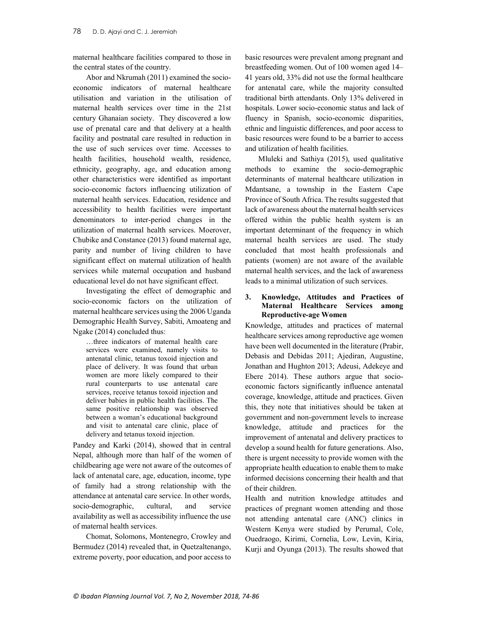maternal healthcare facilities compared to those in the central states of the country.

Abor and Nkrumah (2011) examined the socioeconomic indicators of maternal healthcare utilisation and variation in the utilisation of maternal health services over time in the 21st century Ghanaian society. They discovered a low use of prenatal care and that delivery at a health facility and postnatal care resulted in reduction in the use of such services over time. Accesses to health facilities, household wealth, residence, ethnicity, geography, age, and education among other characteristics were identified as important socio-economic factors influencing utilization of maternal health services. Education, residence and accessibility to health facilities were important denominators to inter-period changes in the utilization of maternal health services. Moerover, Chubike and Constance (2013) found maternal age, parity and number of living children to have significant effect on maternal utilization of health services while maternal occupation and husband educational level do not have significant effect.

Investigating the effect of demographic and socio-economic factors on the utilization of maternal healthcare services using the 2006 Uganda Demographic Health Survey, Sabiti, Amoateng and Ngake (2014) concluded thus:

…three indicators of maternal health care services were examined, namely visits to antenatal clinic, tetanus toxoid injection and place of delivery. It was found that urban women are more likely compared to their rural counterparts to use antenatal care services, receive tetanus toxoid injection and deliver babies in public health facilities. The same positive relationship was observed between a woman's educational background and visit to antenatal care clinic, place of delivery and tetanus toxoid injection.

Pandey and Karki (2014), showed that in central Nepal, although more than half of the women of childbearing age were not aware of the outcomes of lack of antenatal care, age, education, income, type of family had a strong relationship with the attendance at antenatal care service. In other words, socio-demographic, cultural, and service availability as well as accessibility influence the use of maternal health services.

Chomat, Solomons, Montenegro, Crowley and Bermudez (2014) revealed that, in Quetzaltenango, extreme poverty, poor education, and poor access to

basic resources were prevalent among pregnant and breastfeeding women. Out of 100 women aged 14– 41 years old, 33% did not use the formal healthcare for antenatal care, while the majority consulted traditional birth attendants. Only 13% delivered in hospitals. Lower socio-economic status and lack of fluency in Spanish, socio-economic disparities, ethnic and linguistic differences, and poor access to basic resources were found to be a barrier to access and utilization of health facilities.

Mluleki and Sathiya (2015), used qualitative methods to examine the socio-demographic determinants of maternal healthcare utilization in Mdantsane, a township in the Eastern Cape Province of South Africa. The results suggested that lack of awareness about the maternal health services offered within the public health system is an important determinant of the frequency in which maternal health services are used. The study concluded that most health professionals and patients (women) are not aware of the available maternal health services, and the lack of awareness leads to a minimal utilization of such services.

### 3. Knowledge, Attitudes and Practices of Maternal Healthcare Services among Reproductive-age Women

Knowledge, attitudes and practices of maternal healthcare services among reproductive age women have been well documented in the literature (Prabir, Debasis and Debidas 2011; Ajediran, Augustine, Jonathan and Hughton 2013; Adeusi, Adekeye and Ebere 2014). These authors argue that socioeconomic factors significantly influence antenatal coverage, knowledge, attitude and practices. Given this, they note that initiatives should be taken at government and non-government levels to increase knowledge, attitude and practices for the improvement of antenatal and delivery practices to develop a sound health for future generations. Also, there is urgent necessity to provide women with the appropriate health education to enable them to make informed decisions concerning their health and that of their children.

Health and nutrition knowledge attitudes and practices of pregnant women attending and those not attending antenatal care (ANC) clinics in Western Kenya were studied by Perumal, Cole, Ouedraogo, Kirimi, Cornelia, Low, Levin, Kiria, Kurji and Oyunga (2013). The results showed that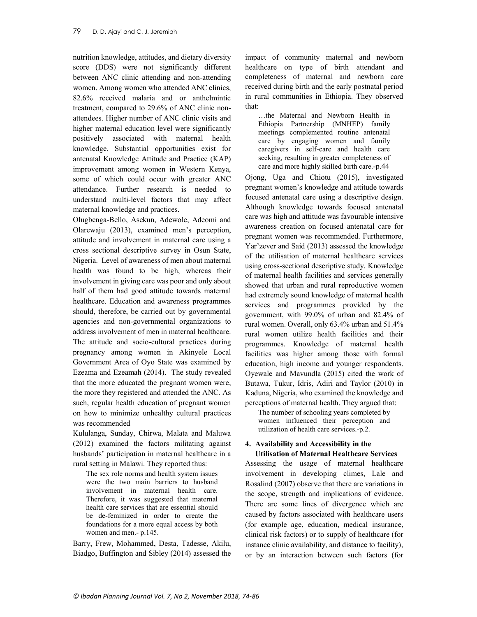nutrition knowledge, attitudes, and dietary diversity score (DDS) were not significantly different between ANC clinic attending and non-attending women. Among women who attended ANC clinics, 82.6% received malaria and or anthelmintic treatment, compared to 29.6% of ANC clinic nonattendees. Higher number of ANC clinic visits and higher maternal education level were significantly positively associated with maternal health knowledge. Substantial opportunities exist for antenatal Knowledge Attitude and Practice (KAP) improvement among women in Western Kenya, some of which could occur with greater ANC attendance. Further research is needed to understand multi-level factors that may affect maternal knowledge and practices.

Olugbenga-Bello, Asekun, Adewole, Adeomi and Olarewaju (2013), examined men's perception, attitude and involvement in maternal care using a cross sectional descriptive survey in Osun State, Nigeria. Level of awareness of men about maternal health was found to be high, whereas their involvement in giving care was poor and only about half of them had good attitude towards maternal healthcare. Education and awareness programmes should, therefore, be carried out by governmental agencies and non-governmental organizations to address involvement of men in maternal healthcare. The attitude and socio-cultural practices during pregnancy among women in Akinyele Local Government Area of Oyo State was examined by Ezeama and Ezeamah (2014). The study revealed that the more educated the pregnant women were, the more they registered and attended the ANC. As such, regular health education of pregnant women on how to minimize unhealthy cultural practices was recommended

Kululanga, Sunday, Chirwa, Malata and Maluwa (2012) examined the factors militating against husbands' participation in maternal healthcare in a rural setting in Malawi. They reported thus:

The sex role norms and health system issues were the two main barriers to husband involvement in maternal health care. Therefore, it was suggested that maternal health care services that are essential should be de-feminized in order to create the foundations for a more equal access by both women and men.- p.145.

Barry, Frew, Mohammed, Desta, Tadesse, Akilu, Biadgo, Buffington and Sibley (2014) assessed the impact of community maternal and newborn healthcare on type of birth attendant and completeness of maternal and newborn care received during birth and the early postnatal period in rural communities in Ethiopia. They observed that:

…the Maternal and Newborn Health in Ethiopia Partnership (MNHEP) family meetings complemented routine antenatal care by engaging women and family caregivers in self-care and health care seeking, resulting in greater completeness of care and more highly skilled birth care.-p.44

Ojong, Uga and Chiotu (2015), investigated pregnant women's knowledge and attitude towards focused antenatal care using a descriptive design. Although knowledge towards focused antenatal care was high and attitude was favourable intensive awareness creation on focused antenatal care for pregnant women was recommended. Furthermore, Yar'zever and Said (2013) assessed the knowledge of the utilisation of maternal healthcare services using cross-sectional descriptive study. Knowledge of maternal health facilities and services generally showed that urban and rural reproductive women had extremely sound knowledge of maternal health services and programmes provided by the government, with 99.0% of urban and 82.4% of rural women. Overall, only 63.4% urban and 51.4% rural women utilize health facilities and their programmes. Knowledge of maternal health facilities was higher among those with formal education, high income and younger respondents. Oyewale and Mavundla (2015) cited the work of Butawa, Tukur, Idris, Adiri and Taylor (2010) in Kaduna, Nigeria, who examined the knowledge and perceptions of maternal health. They argued that:

The number of schooling years completed by women influenced their perception and utilization of health care services.-p.2.

# 4. Availability and Accessibility in the Utilisation of Maternal Healthcare Services

Assessing the usage of maternal healthcare involvement in developing climes, Lale and Rosalind (2007) observe that there are variations in the scope, strength and implications of evidence. There are some lines of divergence which are caused by factors associated with healthcare users (for example age, education, medical insurance, clinical risk factors) or to supply of healthcare (for instance clinic availability, and distance to facility), or by an interaction between such factors (for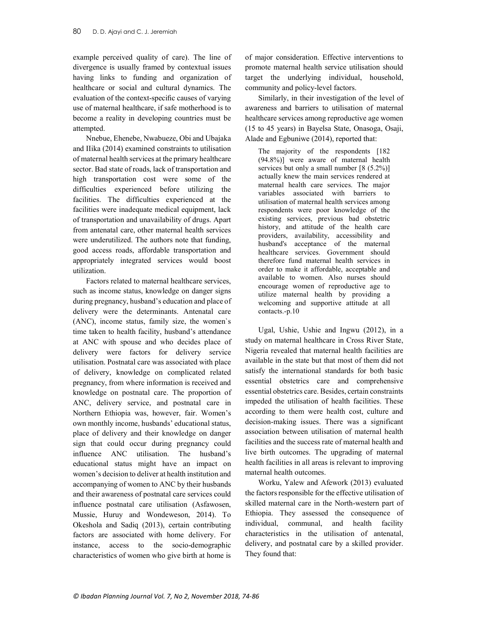example perceived quality of care). The line of divergence is usually framed by contextual issues having links to funding and organization of healthcare or social and cultural dynamics. The evaluation of the context-specific causes of varying use of maternal healthcare, if safe motherhood is to become a reality in developing countries must be attempted.

Nnebue, Ehenebe, Nwabueze, Obi and Ubajaka and IIika (2014) examined constraints to utilisation of maternal health services at the primary healthcare sector. Bad state of roads, lack of transportation and high transportation cost were some of the difficulties experienced before utilizing the facilities. The difficulties experienced at the facilities were inadequate medical equipment, lack of transportation and unavailability of drugs. Apart from antenatal care, other maternal health services were underutilized. The authors note that funding, good access roads, affordable transportation and appropriately integrated services would boost utilization.

Factors related to maternal healthcare services, such as income status, knowledge on danger signs during pregnancy, husband's education and place of delivery were the determinants. Antenatal care (ANC), income status, family size, the women`s time taken to health facility, husband's attendance at ANC with spouse and who decides place of delivery were factors for delivery service utilisation. Postnatal care was associated with place of delivery, knowledge on complicated related pregnancy, from where information is received and knowledge on postnatal care. The proportion of ANC, delivery service, and postnatal care in Northern Ethiopia was, however, fair. Women's own monthly income, husbands' educational status, place of delivery and their knowledge on danger sign that could occur during pregnancy could influence ANC utilisation. The husband's educational status might have an impact on women's decision to deliver at health institution and accompanying of women to ANC by their husbands and their awareness of postnatal care services could influence postnatal care utilisation (Asfawosen, Mussie, Huruy and Wondeweson, 2014). To Okeshola and Sadiq (2013), certain contributing factors are associated with home delivery. For instance, access to the socio-demographic characteristics of women who give birth at home is

of major consideration. Effective interventions to promote maternal health service utilisation should target the underlying individual, household, community and policy-level factors.

Similarly, in their investigation of the level of awareness and barriers to utilisation of maternal healthcare services among reproductive age women (15 to 45 years) in Bayelsa State, Onasoga, Osaji, Alade and Egbuniwe (2014), reported that:

The majority of the respondents [182] (94.8%)] were aware of maternal health services but only a small number [8 (5.2%)] actually knew the main services rendered at maternal health care services. The major variables associated with barriers to utilisation of maternal health services among respondents were poor knowledge of the existing services, previous bad obstetric history, and attitude of the health care providers, availability, accessibility and husband's acceptance of the maternal healthcare services. Government should therefore fund maternal health services in order to make it affordable, acceptable and available to women. Also nurses should encourage women of reproductive age to utilize maternal health by providing a welcoming and supportive attitude at all contacts.-p.10

Ugal, Ushie, Ushie and Ingwu (2012), in a study on maternal healthcare in Cross River State, Nigeria revealed that maternal health facilities are available in the state but that most of them did not satisfy the international standards for both basic essential obstetrics care and comprehensive essential obstetrics care. Besides, certain constraints impeded the utilisation of health facilities. These according to them were health cost, culture and decision-making issues. There was a significant association between utilisation of maternal health facilities and the success rate of maternal health and live birth outcomes. The upgrading of maternal health facilities in all areas is relevant to improving maternal health outcomes.

Worku, Yalew and Afework (2013) evaluated the factors responsible for the effective utilisation of skilled maternal care in the North-western part of Ethiopia. They assessed the consequence of individual, communal, and health facility characteristics in the utilisation of antenatal, delivery, and postnatal care by a skilled provider. They found that: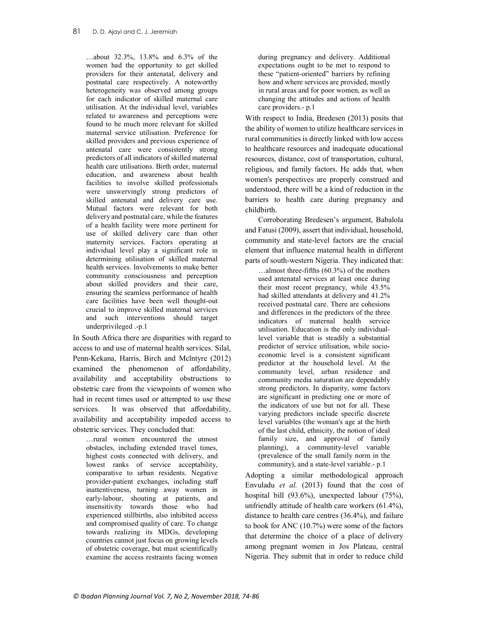…about 32.3%, 13.8% and 6.3% of the women had the opportunity to get skilled providers for their antenatal, delivery and postnatal care respectively. A noteworthy heterogeneity was observed among groups for each indicator of skilled maternal care utilisation. At the individual level, variables related to awareness and perceptions were found to be much more relevant for skilled maternal service utilisation. Preference for skilled providers and previous experience of antenatal care were consistently strong predictors of all indicators of skilled maternal health care utilisations. Birth order, maternal education, and awareness about health facilities to involve skilled professionals were unswervingly strong predictors of skilled antenatal and delivery care use. Mutual factors were relevant for both delivery and postnatal care, while the features of a health facility were more pertinent for use of skilled delivery care than other maternity services. Factors operating at individual level play a significant role in determining utilisation of skilled maternal health services. Involvements to make better community consciousness and perception about skilled providers and their care, ensuring the seamless performance of health care facilities have been well thought-out crucial to improve skilled maternal services and such interventions should target underprivileged .-p.1

In South Africa there are disparities with regard to access to and use of maternal health services. Silal, Penn-Kekana, Harris, Birch and Mclntyre (2012) examined the phenomenon of affordability, availability and acceptability obstructions to obstetric care from the viewpoints of women who had in recent times used or attempted to use these services. It was observed that affordability, availability and acceptability impeded access to obstetric services. They concluded that:

…rural women encountered the utmost obstacles, including extended travel times, highest costs connected with delivery, and lowest ranks of service acceptability, comparative to urban residents. Negative provider-patient exchanges, including staff inattentiveness, turning away women in early-labour, shouting at patients, and insensitivity towards those who had experienced stillbirths, also inhibited access and compromised quality of care. To change towards realizing its MDGs, developing countries cannot just focus on growing levels of obstetric coverage, but must scientifically examine the access restraints facing women during pregnancy and delivery. Additional expectations ought to be met to respond to these "patient-oriented" barriers by refining how and where services are provided, mostly in rural areas and for poor women, as well as changing the attitudes and actions of health care providers.- p.1

With respect to India, Bredesen (2013) posits that the ability of women to utilize healthcare services in rural communities is directly linked with low access to healthcare resources and inadequate educational resources, distance, cost of transportation, cultural, religious, and family factors. He adds that, when women's perspectives are properly construed and understood, there will be a kind of reduction in the barriers to health care during pregnancy and childbirth.

Corroborating Bredesen's argument, Babalola and Fatusi (2009), assert that individual, household, community and state-level factors are the crucial element that influence maternal health in different parts of south-western Nigeria. They indicated that:

…almost three-fifths (60.3%) of the mothers used antenatal services at least once during their most recent pregnancy, while 43.5% had skilled attendants at delivery and 41.2% received postnatal care. There are cohesions and differences in the predictors of the three indicators of maternal health service utilisation. Education is the only individuallevel variable that is steadily a substantial predictor of service utilisation, while socioeconomic level is a consistent significant predictor at the household level. At the community level, urban residence and community media saturation are dependably strong predictors. In disparity, some factors are significant in predicting one or more of the indicators of use but not for all. These varying predictors include specific discrete level variables (the woman's age at the birth of the last child, ethnicity, the notion of ideal family size, and approval of family planning), a community-level variable (prevalence of the small family norm in the community), and a state-level variable.- p.1

Adopting a similar methodological approach Envuladu et al. (2013) found that the cost of hospital bill (93.6%), unexpected labour (75%), unfriendly attitude of health care workers (61.4%), distance to health care centres (36.4%), and failure to book for ANC (10.7%) were some of the factors that determine the choice of a place of delivery among pregnant women in Jos Plateau, central Nigeria. They submit that in order to reduce child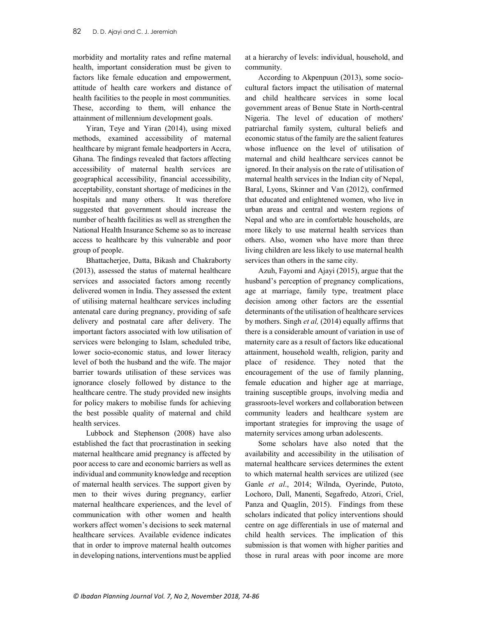morbidity and mortality rates and refine maternal health, important consideration must be given to factors like female education and empowerment, attitude of health care workers and distance of health facilities to the people in most communities. These, according to them, will enhance the attainment of millennium development goals.

Yiran, Teye and Yiran (2014), using mixed methods, examined accessibility of maternal healthcare by migrant female headporters in Accra, Ghana. The findings revealed that factors affecting accessibility of maternal health services are geographical accessibility, financial accessibility, acceptability, constant shortage of medicines in the hospitals and many others. It was therefore suggested that government should increase the number of health facilities as well as strengthen the National Health Insurance Scheme so as to increase access to healthcare by this vulnerable and poor group of people.

Bhattacherjee, Datta, Bikash and Chakraborty (2013), assessed the status of maternal healthcare services and associated factors among recently delivered women in India. They assessed the extent of utilising maternal healthcare services including antenatal care during pregnancy, providing of safe delivery and postnatal care after delivery. The important factors associated with low utilisation of services were belonging to Islam, scheduled tribe, lower socio-economic status, and lower literacy level of both the husband and the wife. The major barrier towards utilisation of these services was ignorance closely followed by distance to the healthcare centre. The study provided new insights for policy makers to mobilise funds for achieving the best possible quality of maternal and child health services.

Lubbock and Stephenson (2008) have also established the fact that procrastination in seeking maternal healthcare amid pregnancy is affected by poor access to care and economic barriers as well as individual and community knowledge and reception of maternal health services. The support given by men to their wives during pregnancy, earlier maternal healthcare experiences, and the level of communication with other women and health workers affect women's decisions to seek maternal healthcare services. Available evidence indicates that in order to improve maternal health outcomes in developing nations, interventions must be applied

at a hierarchy of levels: individual, household, and community.

According to Akpenpuun (2013), some sociocultural factors impact the utilisation of maternal and child healthcare services in some local government areas of Benue State in North-central Nigeria. The level of education of mothers' patriarchal family system, cultural beliefs and economic status of the family are the salient features whose influence on the level of utilisation of maternal and child healthcare services cannot be ignored. In their analysis on the rate of utilisation of maternal health services in the Indian city of Nepal, Baral, Lyons, Skinner and Van (2012), confirmed that educated and enlightened women, who live in urban areas and central and western regions of Nepal and who are in comfortable households, are more likely to use maternal health services than others. Also, women who have more than three living children are less likely to use maternal health services than others in the same city.

Azuh, Fayomi and Ajayi (2015), argue that the husband's perception of pregnancy complications, age at marriage, family type, treatment place decision among other factors are the essential determinants of the utilisation of healthcare services by mothers. Singh et al, (2014) equally affirms that there is a considerable amount of variation in use of maternity care as a result of factors like educational attainment, household wealth, religion, parity and place of residence. They noted that the encouragement of the use of family planning, female education and higher age at marriage, training susceptible groups, involving media and grassroots-level workers and collaboration between community leaders and healthcare system are important strategies for improving the usage of maternity services among urban adolescents.

Some scholars have also noted that the availability and accessibility in the utilisation of maternal healthcare services determines the extent to which maternal health services are utilized (see Ganle et al., 2014; Wilnda, Oyerinde, Putoto, Lochoro, Dall, Manenti, Segafredo, Atzori, Criel, Panza and Quaglin, 2015). Findings from these scholars indicated that policy interventions should centre on age differentials in use of maternal and child health services. The implication of this submission is that women with higher parities and those in rural areas with poor income are more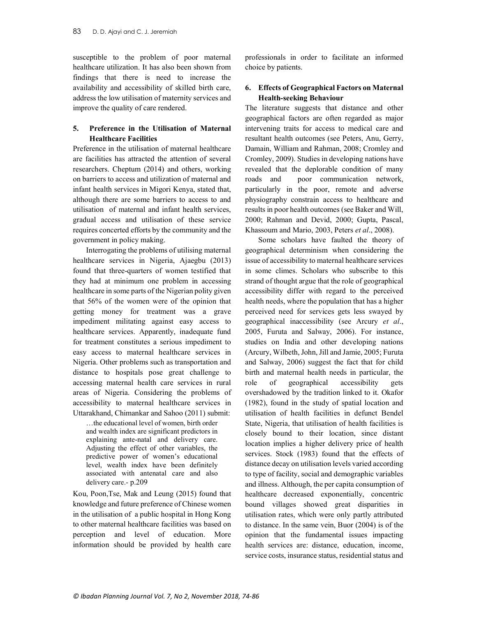susceptible to the problem of poor maternal healthcare utilization. It has also been shown from findings that there is need to increase the availability and accessibility of skilled birth care, address the low utilisation of maternity services and improve the quality of care rendered.

# 5. Preference in the Utilisation of Maternal Healthcare Facilities

Preference in the utilisation of maternal healthcare are facilities has attracted the attention of several researchers. Cheptum (2014) and others, working on barriers to access and utilization of maternal and infant health services in Migori Kenya, stated that, although there are some barriers to access to and utilisation of maternal and infant health services, gradual access and utilisation of these service requires concerted efforts by the community and the government in policy making.

Interrogating the problems of utilising maternal healthcare services in Nigeria, Ajaegbu (2013) found that three-quarters of women testified that they had at minimum one problem in accessing healthcare in some parts of the Nigerian polity given that 56% of the women were of the opinion that getting money for treatment was a grave impediment militating against easy access to healthcare services. Apparently, inadequate fund for treatment constitutes a serious impediment to easy access to maternal healthcare services in Nigeria. Other problems such as transportation and distance to hospitals pose great challenge to accessing maternal health care services in rural areas of Nigeria. Considering the problems of accessibility to maternal healthcare services in Uttarakhand, Chimankar and Sahoo (2011) submit:

…the educational level of women, birth order and wealth index are significant predictors in explaining ante-natal and delivery care. Adjusting the effect of other variables, the predictive power of women's educational level, wealth index have been definitely associated with antenatal care and also delivery care.- p.209

Kou, Poon,Tse, Mak and Leung (2015) found that knowledge and future preference of Chinese women in the utilisation of a public hospital in Hong Kong to other maternal healthcare facilities was based on perception and level of education. More information should be provided by health care

professionals in order to facilitate an informed choice by patients.

# 6. Effects of Geographical Factors on Maternal Health-seeking Behaviour

The literature suggests that distance and other geographical factors are often regarded as major intervening traits for access to medical care and resultant health outcomes (see Peters, Anu, Gerry, Damain, William and Rahman, 2008; Cromley and Cromley, 2009). Studies in developing nations have revealed that the deplorable condition of many roads and poor communication network, particularly in the poor, remote and adverse physiography constrain access to healthcare and results in poor health outcomes (see Baker and Will, 2000; Rahman and Devid, 2000; Gupta, Pascal, Khassoum and Mario, 2003, Peters et al., 2008).

Some scholars have faulted the theory of geographical determinism when considering the issue of accessibility to maternal healthcare services in some climes. Scholars who subscribe to this strand of thought argue that the role of geographical accessibility differ with regard to the perceived health needs, where the population that has a higher perceived need for services gets less swayed by geographical inaccessibility (see Arcury et al., 2005, Furuta and Salway, 2006). For instance, studies on India and other developing nations (Arcury, Wilbeth, John, Jill and Jamie, 2005; Furuta and Salway, 2006) suggest the fact that for child birth and maternal health needs in particular, the role of geographical accessibility gets overshadowed by the tradition linked to it. Okafor (1982), found in the study of spatial location and utilisation of health facilities in defunct Bendel State, Nigeria, that utilisation of health facilities is closely bound to their location, since distant location implies a higher delivery price of health services. Stock (1983) found that the effects of distance decay on utilisation levels varied according to type of facility, social and demographic variables and illness. Although, the per capita consumption of healthcare decreased exponentially, concentric bound villages showed great disparities in utilisation rates, which were only partly attributed to distance. In the same vein, Buor (2004) is of the opinion that the fundamental issues impacting health services are: distance, education, income, service costs, insurance status, residential status and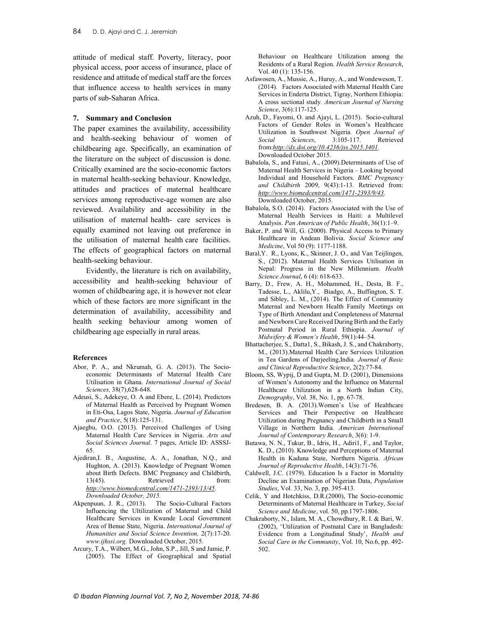attitude of medical staff. Poverty, literacy, poor physical access, poor access of insurance, place of residence and attitude of medical staff are the forces that influence access to health services in many parts of sub-Saharan Africa.

### 7. Summary and Conclusion

The paper examines the availability, accessibility and health-seeking behaviour of women of childbearing age. Specifically, an examination of the literature on the subject of discussion is done. Critically examined are the socio-economic factors in maternal health-seeking behaviour. Knowledge, attitudes and practices of maternal healthcare services among reproductive-age women are also reviewed. Availability and accessibility in the utilisation of maternal health- care services is equally examined not leaving out preference in the utilisation of maternal health care facilities. The effects of geographical factors on maternal health-seeking behaviour.

Evidently, the literature is rich on availability, accessibility and health-seeking behaviour of women of childbearing age, it is however not clear which of these factors are more significant in the determination of availability, accessibility and health seeking behaviour among women of childbearing age especially in rural areas.

### References

- Abor, P. A., and Nkrumah, G. A. (2013). The Socioeconomic Determinants of Maternal Health Care Utilisation in Ghana. International Journal of Social Sciences, 38(7),628-648.
- Adeusi, S., Adekeye, O. A and Ebere, L. (2014). Predictors of Maternal Health as Perceived by Pregnant Women in Eti-Osa, Lagos State, Nigeria. Journal of Education and Practice, 5(18):125-131.
- Ajaegbu, O.O. (2013). Perceived Challenges of Using Maternal Health Care Services in Nigeria. Arts and Social Sciences Journal. 7 pages, Article ID: ASSSJ-65.
- Ajediran,I. B., Augustine, A. A., Jonathan, N.Q., and Hughton, A. (2013). Knowledge of Pregnant Women about Birth Defects. BMC Pregnancy and Childbirth, 13(45). Retrieved from: http://www.biomedcentral.com/1471-2393/13/45. Downloaded October, 2015.
- Akpenpuun, J. R., (2013). The Socio-Cultural Factors Influencing the Ultilization of Maternal and Child Healthcare Services in Kwande Local Government Area of Benue State, Nigeria. International Journal of Humanities and Social Science Invention, 2(7):17-20. www.ijhssi.org. Downloaded October, 2015.
- Arcury, T.A., Wilbert, M.G., John, S.P., Jill, S and Jamie, P. (2005). The Effect of Geographical and Spatial

Behaviour on Healthcare Utilization among the Residents of a Rural Region. Health Service Research, Vol. 40 (1): 135-156.

- Asfawosen, A., Mussie, A., Huruy, A., and Wondeweson, T. (2014). Factors Associated with Maternal Health Care Services in Enderta District, Tigray, Northern Ethiopia: A cross sectional study. American Journal of Nursing Science, 3(6):117-125.
- Azuh, D., Fayomi, O. and Ajayi, L. (2015). Socio-cultural Factors of Gender Roles in Women's Healthcare Utilization in Southwest Nigeria. Open Journal of Social Sciences, 3:105-117. Retrieved from:http://dx.doi.org/10.4236/jss.2015.3401. Downloaded October 2015.
- Babalola, S., and Fatusi, A., (2009).Determinants of Use of Maternal Health Services in Nigeria – Looking beyond Individual and Household Factors. BMC Pregnancy and Childbirth 2009, 9(43):1-13. Retrieved from: http://www.biomedcentral.com/1471-2393/9/43. Downloaded October, 2015.
- Babalola, S.O. (2014). Factors Associated with the Use of Maternal Health Services in Haiti: a Multilevel Analysis. Pan American of Public Health, 36(1):1–9.
- Baker, P. and Will, G. (2000). Physical Access to Primary Healthcare in Andean Bolivia. Social Science and Medicine, Vol 50 (9): 1177-1188.
- Baral,Y. R., Lyons, K., Skinner, J. O., and Van Teijlingen, S., (2012). Maternal Health Services Utilisation in Nepal: Progress in the New Millennium. Health Science Journal, 6 (4): 618-633.
- Barry, D., Frew, A. H., Mohammed, H., Desta, B. F., Tadesse, L., Aklilu,Y., Biadgo, A., Buffington, S. T. and Sibley, L. M., (2014). The Effect of Community Maternal and Newborn Health Family Meetings on Type of Birth Attendant and Completeness of Maternal and Newborn Care Received During Birth and the Early Postnatal Period in Rural Ethiopia. Journal of Midwifery & Women's Health, 59(1):44–54.
- Bhattacherjee, S., Datta1, S., Bikash, J. S., and Chakraborty, M., (2013).Maternal Health Care Services Utilization in Tea Gardens of Darjeeling,India. Journal of Basic and Clinical Reproductive Science, 2(2):77-84.
- Bloom, SS, Wypij, D and Gupta, M. D. (2001), Dimensions of Women's Autonomy and the Influence on Maternal Healthcare Utilization in a North Indian City, Demography, Vol. 38, No. 1, pp. 67-78.
- Bredesen, B. A. (2013).Women's Use of Healthcare Services and Their Perspective on Healthcare Utilization during Pregnancy and Childbirth in a Small Village in Northern India. American International Journal of Contemporary Research, 3(6): 1-9.
- Butawa, N. N., Tukur, B., Idris, H., Adiri1, F., and Taylor, K. D., (2010). Knowledge and Perceptions of Maternal Health in Kaduna State, Northern Nigeria. African Journal of Reproductive Health, 14(3):71-76.
- Caldwell, J.C. (1979). Education Is a Factor in Mortality Decline an Examination of Nigerian Data, Population Studies, Vol. 33, No. 3, pp. 395-413.
- Celik, Y and Hotchkiss, D.R.(2000), The Socio-economic Determinants of Maternal Healthcare in Turkey, Social Science and Medicine, vol. 50, pp.1797-1806.
- Chakraborty, N., Islam, M. A., Chowdhury, R. I. & Bari, W. (2002), 'Utilization of Postnatal Care in Bangladesh: Evidence from a Longitudinal Study', Health and Social Care in the Community, Vol. 10, No.6, pp. 492- 502.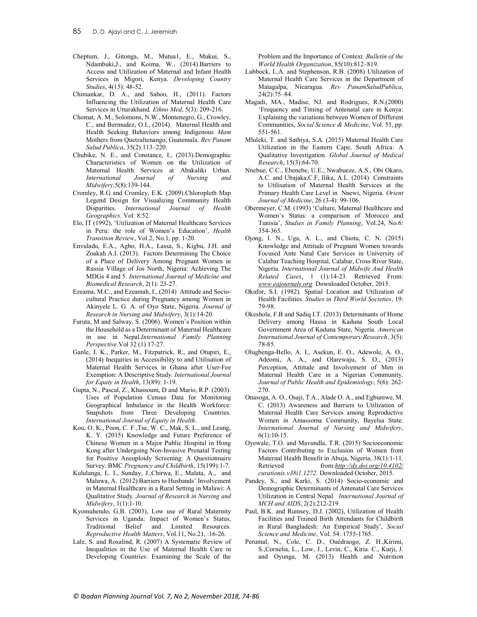- Cheptum, J., Gitonga, M., Mutua1, E., Mukui, S., Ndambuki,J., and Koima, W., (2014).Barriers to Access and Utilization of Maternal and Infant Health Services in Migori, Kenya. Developing Country Studies, 4(15): 48-52.
- Chimankar, D. A., and Sahoo, H., (2011). Factors Influencing the Utilization of Maternal Health Care Services in Uttarakhand. Ethno Med, 5(3): 209-216.
- Chomat, A. M., Solomons, N.W., Montenegro, G., Crowley, C., and Bermudez, O.I., (2014). Maternal Health and Health Seeking Behaviors among Indigenous Mam Mothers from Quetzaltenango, Guatemala. Rev Panam Salud Publica, 35(2):113–220.
- Chubike, N. E., and Constance, I., (2013).Demographic Characteristics of Women on the Utilization of Maternal Health Services at Abakaliki Urban. International Journal of Nursing and Midwifery,5(8):139-144.
- Cromley, R.G and Cromley, E.K. (2009).Chloropleth Map Legend Design for Visualizing Community Health Disparities. International Journal of Health Geographics. Vol: 8:52.
- Elo, IT (1992), 'Utilization of Maternal Healthcare Services in Peru: the role of Women's Education', Health Transition Review, Vol.2, No.1, pp. 1-20.
- Envuladu, E.A., Agbo, H.A., Lassa, S., Kigbu, J.H. and Zoakah A.I. (2013). Factors Determining The Choice of a Place of Delivery Among Pregnant Women in Russia Village of Jos North, Nigeria: Achieving The MDGs 4 and 5. International Journal of Medicine and Biomedical Research, 2(1): 23-27.
- Ezeama, M.C., and Ezeamah, I., (2014) Attitude and Sociocultural Practice during Pregnancy among Women in Akinyele L. G. A. of Oyo State, Nigeria. Journal of Research in Nursing and Midwifery, 3(1):14-20.
- Furuta, M and Salway, S. (2006). Women's Position within the Household as a Determinant of Maternal Healthcare in use in Nepal.International Family Planning Perspective.Vol 32 (1) 17-27.
- Ganle, J. K., Parker, M., Fitzpatrick, R., and Otupiri, E., (2014) Inequities in Accessibility to and Utilisation of Maternal Health Services in Ghana after User-Fee Exemption: A Descriptive Study. International Journal for Equity in Health, 13(89): 1-19.
- Gupta, N., Pascal, Z., Khassoum, D and Mario, R.P. (2003). Uses of Population Census Data for Monitoring Geographical Imbalance in the Health Workforce: Snapshots from Three Developing Countries. International Journal of Equity in Health.
- Kou, O. K., Poon, C. F.,Tse, W. C., Mak, S. L., and Leung, K. Y. (2015) Knowledge and Future Preference of Chinese Women in a Major Public Hospital in Hong Kong after Undergoing Non-Invasive Prenatal Testing for Positive Aneuploidy Screening: A Questionnaire Survey. BMC Pregnancy and Childbirth, 15(199):1-7.
- Kululanga, L. I., Sunday, J.,Chirwa, E., Malata, A., and Maluwa, A. (2012) Barriers to Husbands' Involvement in Maternal Healthcare in a Rural Setting in Malawi: A Qualitative Study. Journal of Research in Nursing and Midwifery, 1(1):1-10.
- Kyomuhendo, G.B. (2003), Low use of Rural Maternity Services in Uganda: Impact of Women's Status, Traditional Belief and Limited Resources. Reproductive Health Matters, Vol.11, No.21, :16-26.
- Lale, S. and Rosalind, R. (2007) A Systematic Review of Inequalities in the Use of Maternal Health Care in Developing Countries: Examining the Scale of the

Problem and the Importance of Context. Bulletin of the World Health Organization, 85(10):812–819.

- Lubbock, L.A. and Stephenson, R.B. (2008) Utilization of Maternal Health Care Services in the Department of Matagalpa, Nicaragua. Rev PanamSaludPublica, 24(2):75–84.
- Magadi, MA., Madise, NJ. and Rodrigues, R.N.(2000) 'Frequency and Timing of Antenatal care in Kenya: Explaining the variations between Women of Different Communities, Social Science & Medicine, Vol. 51, pp. 551-561.
- Mluleki, T. and Sathiya, S.A. (2015) Maternal Health Care Utilization in the Eastern Cape, South Africa: A Qualitative Investigation. Global Journal of Medical Research, 15(3):64-70.
- Nnebue, C.C., Ebenebe, U.E., Nwabueze, A.S., Obi Okaro, A.C. and Ubajaka,C.F, Ilika, A.L. (2014) Constraints to Utilisation of Maternal Health Services at the Primary Health Care Level in Nnewi, Nigeria. Orient Journal of Medicine, 26 (3-4): 99-106.
- Obermeyer, C.M. (1993) 'Culture, Maternal Healthcare and Women's Status: a comparison of Morocco and Tunisia', Studies in Family Planning, Vol.24, No.6: 354-365.
- Ojong, I. N., Uga, A. L., and Chiotu, C. N. (2015) Knowledge and Attitude of Pregnant Women towards Focused Ante Natal Care Services in University of Calabar Teaching Hospital, Calabar, Cross River State, Nigeria. International Journal of Midwife And Health Related Cases, 1 (1):14-23. Retrieved From: www.eajournals.org. Downloaded October, 2015.
- Okafor, S.I. (1982). Spatial Location and Utilization of Health Facilities. Studies in Third World Societies, 19: 79-98.
- Okeshola, F.B and Sadiq I.T. (2013) Determinants of Home Delivery among Hausa in Kaduna South Local Government Area of Kaduna State, Nigeria. American International Journal of Contemporary Research, 3(5): 78-85.
- Olugbenga-Bello, A. I., Asekun, E. O., Adewole, A. O., Adeomi, A. A., and Olarewaju, S. O., (2013) Perception, Attitude and Involvement of Men in Maternal Health Care in a Nigerian Community. Journal of Public Health and Epidemiology, 5(6): 262- 270.
- Onasoga, A. O., Osaji, T A., Alade O. A., and Egbuniwe, M. C. (2013) Awareness and Barriers to Utilization of Maternal Health Care Services among Reproductive Women in Amassoma Community, Bayelsa State. International Journal of Nursing and Midwifery,  $6(1):10-15.$
- Oyewale, T.O. and Mavundla, T.R. (2015) Socioeconomic Factors Contributing to Exclusion of Women from Maternal Health Benefit in Abuja, Nigeria, 38(1):1-11. Retrieved from: http://dx.doi.org/10.4102/ curationis.v38i1.1272. Downloaded October, 2015.
- Pandey, S., and Karki, S. (2014) Socio-economic and Demographic Determinants of Antenatal Care Services Utilization in Central Nepal. International Journal of MCH and AIDS, 2(2):212-219.
- Paul, B.K. and Rumsey, D.J. (2002), Utilization of Health Facilities and Trained Birth Attendants for Childbirth in Rural Bangladesh: An Empirical Study', Social Science and Medicine, Vol. 54: 1755-1765.
- Perumal, N., Cole, C. D., Ouédraogo, Z. H.,Kirimi, S.,Cornelia, L., Low, J., Levin, C., Kiria. C., Kurji, J. and Oyunga, M. (2013) Health and Nutrition